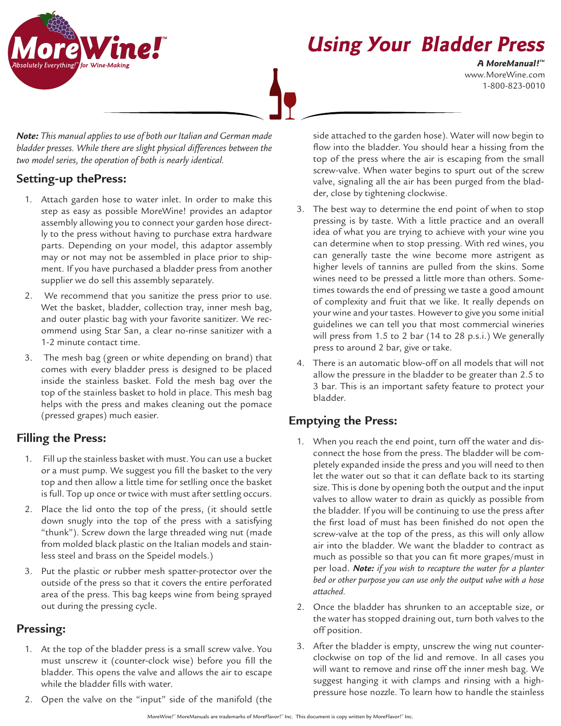

www.MoreWine.com 1-800-823-0010 **A MoreManual! ™**

*Note: This manual applies to use of both our Italian and German made bladder presses. While there are slight physical differences between the two model series, the operation of both is nearly identical.*

## **Setting-up thePress:**

- 1. Attach garden hose to water inlet. In order to make this step as easy as possible MoreWine! provides an adaptor assembly allowing you to connect your garden hose directly to the press without having to purchase extra hardware parts. Depending on your model, this adaptor assembly may or not may not be assembled in place prior to shipment. If you have purchased a bladder press from another supplier we do sell this assembly separately.
- 2. We recommend that you sanitize the press prior to use. Wet the basket, bladder, collection tray, inner mesh bag, and outer plastic bag with your favorite sanitizer. We recommend using Star San, a clear no-rinse sanitizer with a 1-2 minute contact time.
- 3. The mesh bag (green or white depending on brand) that comes with every bladder press is designed to be placed inside the stainless basket. Fold the mesh bag over the top of the stainless basket to hold in place. This mesh bag helps with the press and makes cleaning out the pomace (pressed grapes) much easier.

# **Filling the Press:**

- 1. Fill up the stainless basket with must. You can use a bucket or a must pump. We suggest you fill the basket to the very top and then allow a little time for setlling once the basket is full. Top up once or twice with must after settling occurs.
- 2. Place the lid onto the top of the press, (it should settle down snugly into the top of the press with a satisfying "thunk"). Screw down the large threaded wing nut (made from molded black plastic on the Italian models and stainless steel and brass on the Speidel models.)
- 3. Put the plastic or rubber mesh spatter-protector over the outside of the press so that it covers the entire perforated area of the press. This bag keeps wine from being sprayed out during the pressing cycle.

## **Pressing:**

- 1. At the top of the bladder press is a small screw valve. You must unscrew it (counter-clock wise) before you fill the bladder. This opens the valve and allows the air to escape while the bladder fills with water.
- 2. Open the valve on the "input" side of the manifold (the

side attached to the garden hose). Water will now begin to flow into the bladder. You should hear a hissing from the top of the press where the air is escaping from the small screw-valve. When water begins to spurt out of the screw valve, signaling all the air has been purged from the bladder, close by tightening clockwise.

- 3. The best way to determine the end point of when to stop pressing is by taste. With a little practice and an overall idea of what you are trying to achieve with your wine you can determine when to stop pressing. With red wines, you can generally taste the wine become more astrigent as higher levels of tannins are pulled from the skins. Some wines need to be pressed a little more than others. Sometimes towards the end of pressing we taste a good amount of complexity and fruit that we like. It really depends on your wine and your tastes. However to give you some initial guidelines we can tell you that most commercial wineries will press from 1.5 to 2 bar (14 to 28 p.s.i.) We generally press to around 2 bar, give or take.
- 4. There is an automatic blow-off on all models that will not allow the pressure in the bladder to be greater than 2.5 to 3 bar. This is an important safety feature to protect your bladder.

## **Emptying the Press:**

- 1. When you reach the end point, turn off the water and disconnect the hose from the press. The bladder will be completely expanded inside the press and you will need to then let the water out so that it can deflate back to its starting size. This is done by opening both the output and the input valves to allow water to drain as quickly as possible from the bladder. If you will be continuing to use the press after the first load of must has been finished do not open the screw-valve at the top of the press, as this will only allow air into the bladder. We want the bladder to contract as much as possible so that you can fit more grapes/must in per load. *Note: if you wish to recapture the water for a planter bed or other purpose you can use only the output valve with a hose attached.*
- 2. Once the bladder has shrunken to an acceptable size, or the water has stopped draining out, turn both valves to the off position.
- 3. After the bladder is empty, unscrew the wing nut counterclockwise on top of the lid and remove. In all cases you will want to remove and rinse off the inner mesh bag. We suggest hanging it with clamps and rinsing with a highpressure hose nozzle. To learn how to handle the stainless